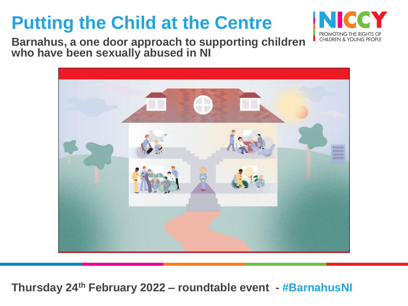

**Barnahus, a one door approach to supporting children who have been sexually abused in NI** 



**Thursday 24th February 2022 – roundtable event - #BarnahusNI**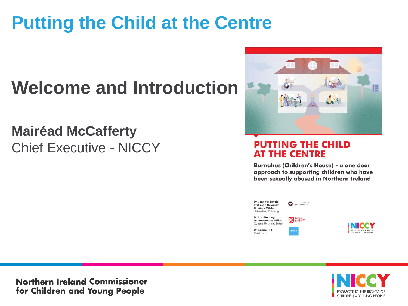# **Welcome and Introduction**

### **Mairéad McCafferty**  Chief Executive - NICCY



#### **PUTTING THE CHILD AT THE CENTRE**

Barnahus (Children's House) - a one door approach to supporting children who have been sexually abused in Northern Ireland



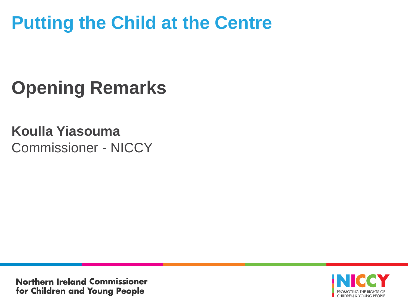# **Opening Remarks**

#### **Koulla Yiasouma** Commissioner - NICCY

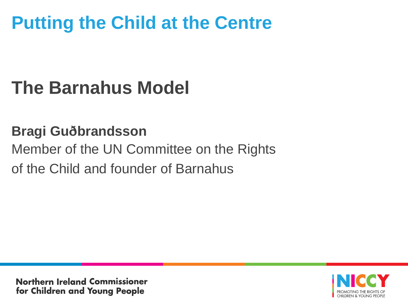# **The Barnahus Model**

### **Bragi Guðbrandsson**

### Member of the UN Committee on the Rights of the Child and founder of Barnahus

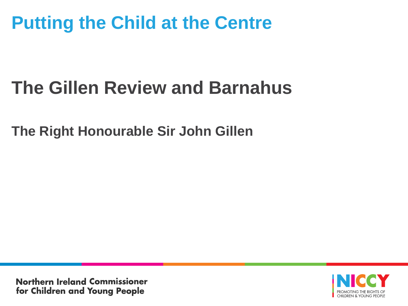# **The Gillen Review and Barnahus**

**The Right Honourable Sir John Gillen** 

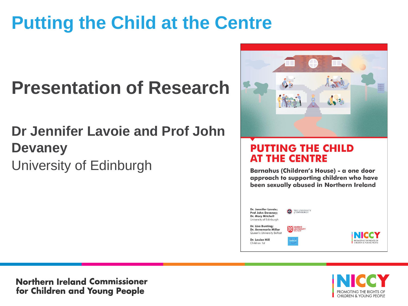# **Presentation of Research**

### **Dr Jennifer Lavoie and Prof John Devaney**  University of Edinburgh



#### **PUTTING THE CHILD AT THE CENTRE**

Barnahus (Children's House) - a one door approach to supporting children who have been sexually abused in Northern Ireland





**Northern Ireland Commissioner** for Children and Young People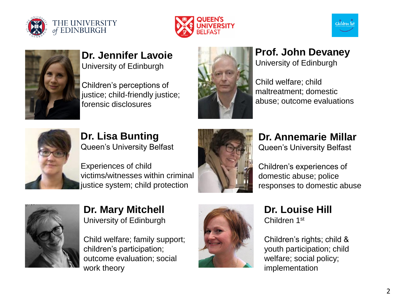







#### **Dr. Jennifer Lavoie** University of Edinburgh

Children's perceptions of justice; child-friendly justice; forensic disclosures



#### **Prof. John Devaney** University of Edinburgh

Child welfare; child maltreatment; domestic abuse; outcome evaluations



**Dr. Lisa Bunting** Queen's University Belfast

Experiences of child victims/witnesses within criminal justice system; child protection



**Dr. Annemarie Millar** Queen's University Belfast

Children's experiences of domestic abuse; police responses to domestic abuse



**Dr. Mary Mitchell** University of Edinburgh

Child welfare; family support; children's participation; outcome evaluation; social work theory



**Dr. Louise Hill** Children 1st

Children's rights; child & youth participation; child welfare; social policy; implementation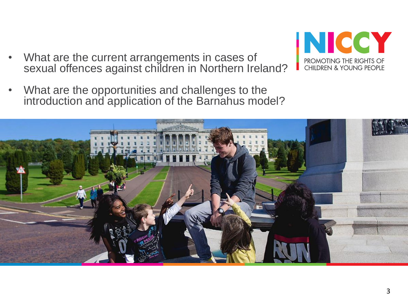• What are the current arrangements in cases of sexual offences against children in Northern Ireland?



• What are the opportunities and challenges to the introduction and application of the Barnahus model?

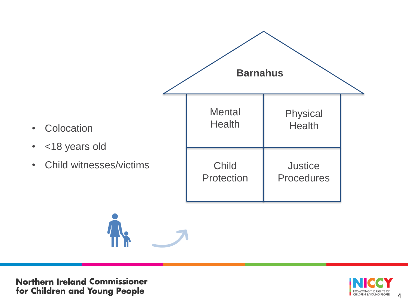

**Northern Ireland Commissioner** for Children and Young People

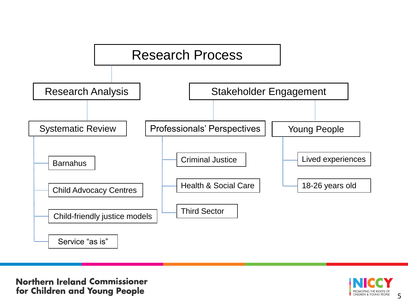

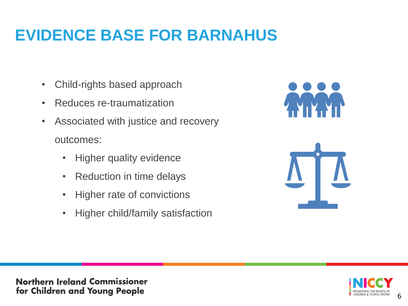### **EVIDENCE BASE FOR BARNAHUS**

- Child-rights based approach
- Reduces re-traumatization
- Associated with justice and recovery outcomes:
	- Higher quality evidence
	- Reduction in time delays
	- Higher rate of convictions
	- Higher child/family satisfaction





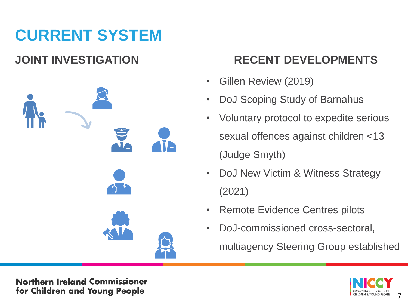## **CURRENT SYSTEM**



#### **JOINT INVESTIGATION RECENT DEVELOPMENTS**

- Gillen Review (2019)
- DoJ Scoping Study of Barnahus
- Voluntary protocol to expedite serious sexual offences against children <13 (Judge Smyth)
- DoJ New Victim & Witness Strategy (2021)
- Remote Evidence Centres pilots
- DoJ-commissioned cross-sectoral, multiagency Steering Group established



**Northern Ireland Commissioner** for Children and Young People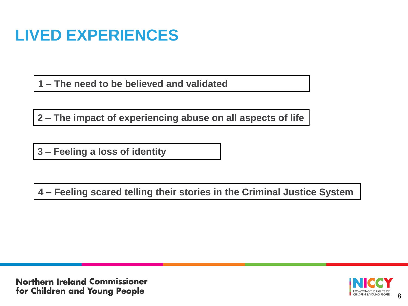### **LIVED EXPERIENCES**

**1 – The need to be believed and validated**

**2 – The impact of experiencing abuse on all aspects of life**

**3 – Feeling a loss of identity**

**4 – Feeling scared telling their stories in the Criminal Justice System**

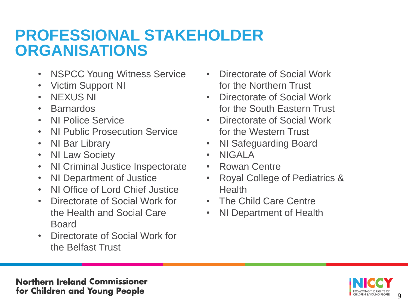### **PROFESSIONAL STAKEHOLDER ORGANISATIONS**

- NSPCC Young Witness Service
- Victim Support NI
- NEXUS NI
- Barnardos
- NI Police Service
- NI Public Prosecution Service
- NI Bar Library
- NI Law Society
- NI Criminal Justice Inspectorate
- NI Department of Justice
- NI Office of Lord Chief Justice
- Directorate of Social Work for the Health and Social Care Board
- Directorate of Social Work for the Belfast Trust
- Directorate of Social Work for the Northern Trust
- Directorate of Social Work for the South Eastern Trust
- Directorate of Social Work for the Western Trust
- NI Safeguarding Board
- NIGALA
- Rowan Centre
- Royal College of Pediatrics & **Health**
- The Child Care Centre
- NI Department of Health

9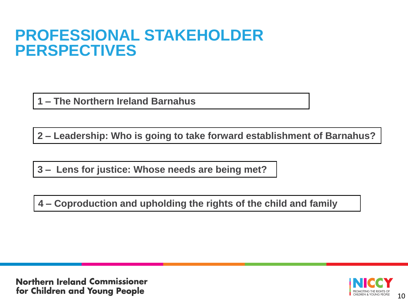### **PROFESSIONAL STAKEHOLDER PERSPECTIVES**

**1 – The Northern Ireland Barnahus**

**2 – Leadership: Who is going to take forward establishment of Barnahus?**

**3 – Lens for justice: Whose needs are being met?**

**4 – Coproduction and upholding the rights of the child and family**

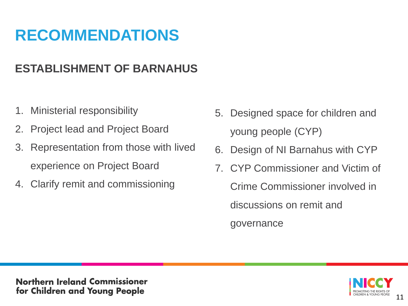### **RECOMMENDATIONS**

#### **ESTABLISHMENT OF BARNAHUS**

- 1. Ministerial responsibility
- 2. Project lead and Project Board
- 3. Representation from those with lived experience on Project Board
- 4. Clarify remit and commissioning
- 5. Designed space for children and young people (CYP)
- 6. Design of NI Barnahus with CYP
- 7. CYP Commissioner and Victim of Crime Commissioner involved in discussions on remit and governance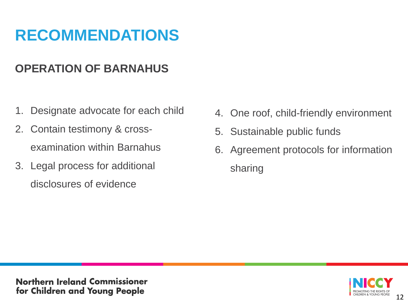### **RECOMMENDATIONS**

#### **OPERATION OF BARNAHUS**

- 1. Designate advocate for each child
- 2. Contain testimony & crossexamination within Barnahus
- 3. Legal process for additional disclosures of evidence
- 4. One roof, child-friendly environment
- 5. Sustainable public funds
- 6. Agreement protocols for information sharing

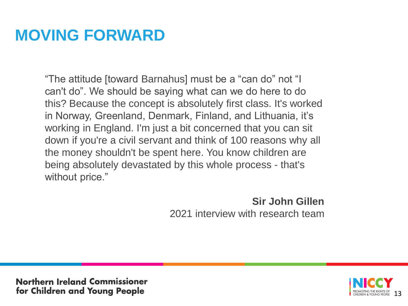### **MOVING FORWARD**

"The attitude [toward Barnahus] must be a "can do" not "I can't do". We should be saying what can we do here to do this? Because the concept is absolutely first class. It's worked in Norway, Greenland, Denmark, Finland, and Lithuania, it's working in England. I'm just a bit concerned that you can sit down if you're a civil servant and think of 100 reasons why all the money shouldn't be spent here. You know children are being absolutely devastated by this whole process - that's without price."

> **Sir John Gillen** 2021 interview with research team

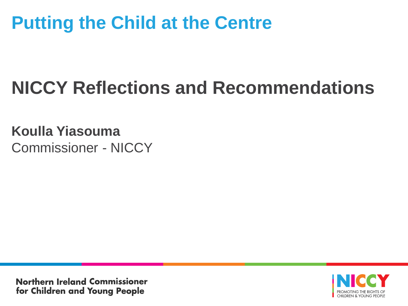# **NICCY Reflections and Recommendations**

**Koulla Yiasouma** Commissioner - NICCY

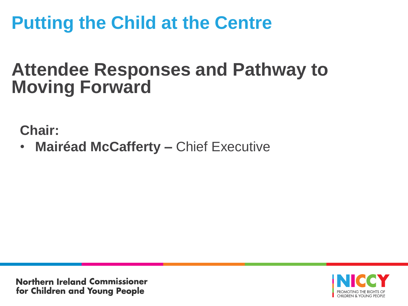### **Attendee Responses and Pathway to Moving Forward**

**Chair:**

• **Mairéad McCafferty –** Chief Executive

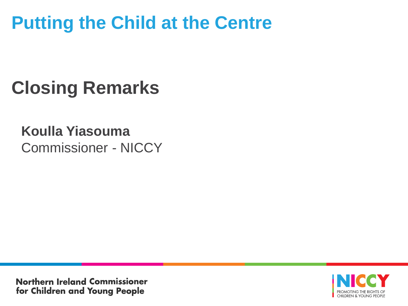# **Closing Remarks**

#### **Koulla Yiasouma** Commissioner - NICCY